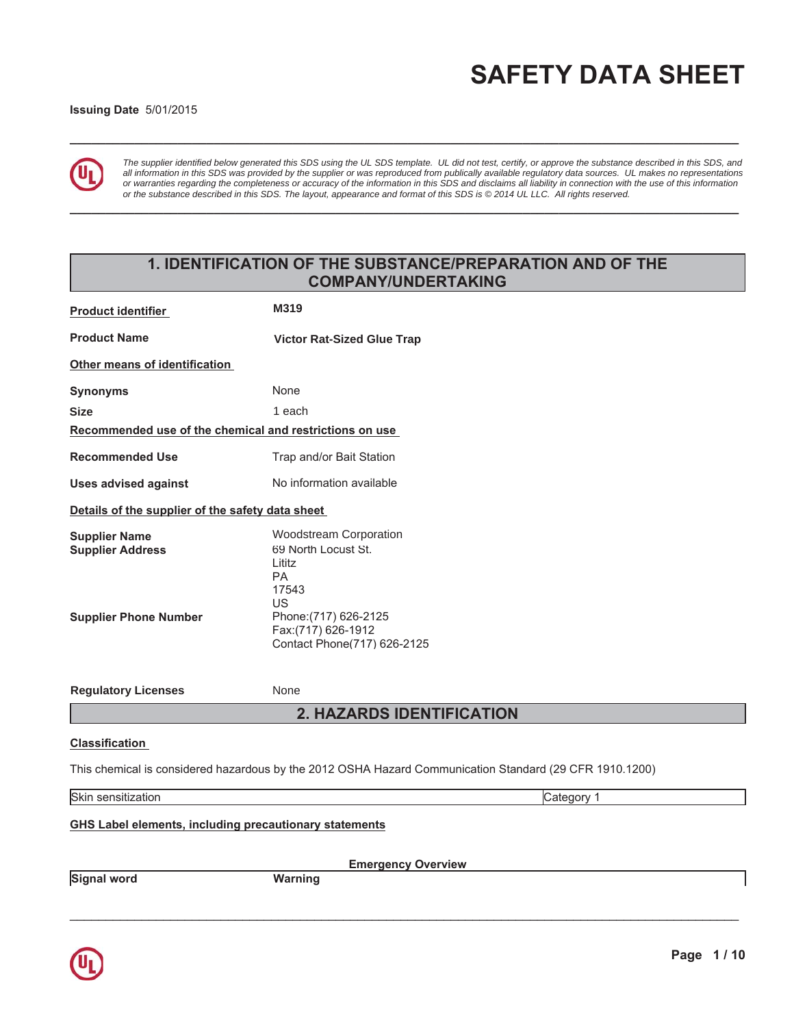# **SAFETY DATA SHEET**

#### **Issuing Date 5/01/2015**



*The supplier identified below generated this SDS using the UL SDS template. UL did not test, certify, or approve the substance described in this SDS, and all information in this SDS was provided by the supplier or was reproduced from publically available regulatory data sources. UL makes no representations or warranties regarding the completeness or accuracy of the information in this SDS and disclaims all liability in connection with the use of this information or the substance described in this SDS. The layout, appearance and format of this SDS is © 2014 UL LLC. All rights reserved.*

## 1. IDENTIFICATION OF THE SUBSTANCE/PREPARATION AND OF THE COMPANY/UNDERTAKING

**BBBBBBBBBBBBBBBBBBBBBBBBBBBBBBBBBBBBBBBBBBBBBBBBBBBBBBBBBBBBBBBBBBBBBBBBBBBBBBBBBBBBBBBBBBBBB**

**BBBBBBBBBBBBBBBBBBBBBBBBBBBBBBBBBBBBBBBBBBBBBBBBBBBBBBBBBBBBBBBBBBBBBBBBBBBBBBBBBBBBBBBBBBBBB**

| <b>Product identifier</b>                                                       | M319                                                                                                                                                               |
|---------------------------------------------------------------------------------|--------------------------------------------------------------------------------------------------------------------------------------------------------------------|
| <b>Product Name</b>                                                             | <b>Victor Rat-Sized Glue Trap</b>                                                                                                                                  |
| Other means of identification                                                   |                                                                                                                                                                    |
| <b>Synonyms</b>                                                                 | None                                                                                                                                                               |
| <b>Size</b>                                                                     | 1 each                                                                                                                                                             |
| Recommended use of the chemical and restrictions on use                         |                                                                                                                                                                    |
| <b>Recommended Use</b>                                                          | Trap and/or Bait Station                                                                                                                                           |
| <b>Uses advised against</b>                                                     | No information available                                                                                                                                           |
| Details of the supplier of the safety data sheet                                |                                                                                                                                                                    |
| <b>Supplier Name</b><br><b>Supplier Address</b><br><b>Supplier Phone Number</b> | <b>Woodstream Corporation</b><br>69 North Locust St.<br>Lititz<br>РA<br>17543<br>US<br>Phone: (717) 626-2125<br>Fax: (717) 626-1912<br>Contact Phone(717) 626-2125 |
| <b>Regulatory Licenses</b>                                                      | None                                                                                                                                                               |
|                                                                                 | <b>2. HAZARDS IDENTIFICATION</b>                                                                                                                                   |
| <b>Classification</b>                                                           |                                                                                                                                                                    |
|                                                                                 | This chemical is considered hazardous by the 2012 OSHA Hazard Communication Standard (29 CFR 1910.1200)                                                            |
| Skin sensitization                                                              | Category 1                                                                                                                                                         |
| <b>GHS Label elements, including precautionary statements</b>                   | <b>Emergency Overview</b>                                                                                                                                          |

**Signal word in the UV Warning** 

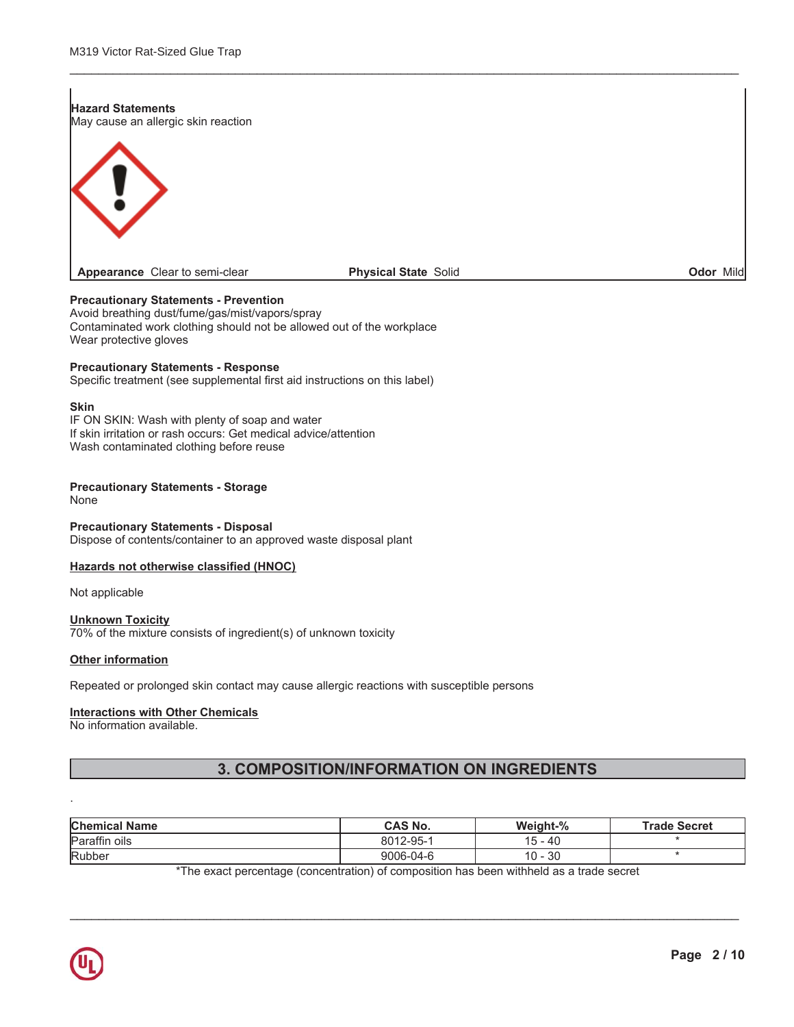#### **Hazard Statements** May cause an allergic skin reaction



Appearance Clear to semi-clear

#### **Physical State Solid**

Odor Mild

#### **Precautionary Statements - Prevention**

Avoid breathing dust/fume/gas/mist/vapors/spray Contaminated work clothing should not be allowed out of the workplace Wear protective gloves

#### **Precautionary Statements - Response**

Specific treatment (see supplemental first aid instructions on this label)

#### **Skin**

IF ON SKIN: Wash with plenty of soap and water If skin irritation or rash occurs: Get medical advice/attention Wash contaminated clothing before reuse

#### **Precautionary Statements - Storage**

None

#### **Precautionary Statements - Disposal**

Dispose of contents/container to an approved waste disposal plant

#### Hazards not otherwise classified (HNOC)

Not applicable

#### **Unknown Toxicity**

70% of the mixture consists of ingredient(s) of unknown toxicity

#### **Other information**

Repeated or prolonged skin contact may cause allergic reactions with susceptible persons

#### **Interactions with Other Chemicals**

No information available.

## 3. COMPOSITION/INFORMATION ON INGREDIENTS

| <b>Chemical Name</b> | <b>CAS No.</b> | Weight-%                             | <b>Trade Secret</b> |
|----------------------|----------------|--------------------------------------|---------------------|
| Paraffin oils        | 8012-95-1      | 40 - ز<br>15.                        |                     |
| Rubber               | 9006-04-6      | 30<br>10<br>$\overline{\phantom{0}}$ |                     |

\*The exact percentage (concentration) of composition has been withheld as a trade secret

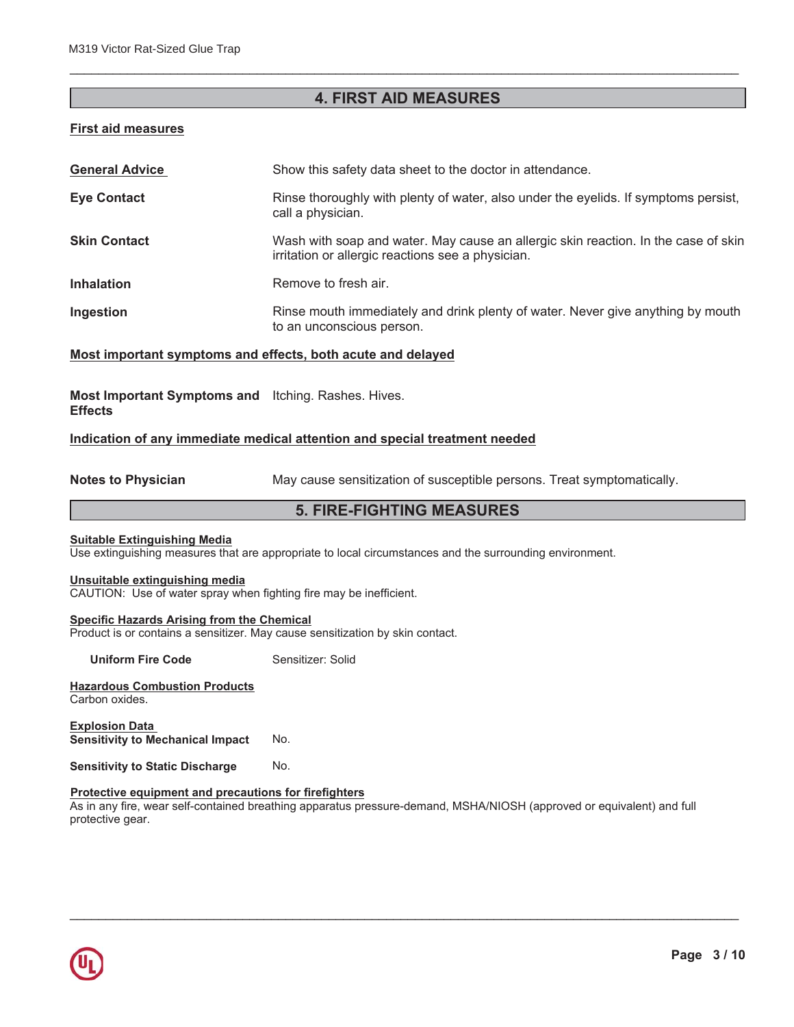## **4. FIRST AID MEASURES**

BBBBBBBBBBBBBBBBBBBBBBBBBBBBBBBBBBBBBBBBBBBBBBBBBBBBBBBBBBBBBBBBBBBBBBBBBBBBBBBBBBBBBBBBBBBBB

#### **First aid measures**

| <b>General Advice</b> | Show this safety data sheet to the doctor in attendance.                                                                                |
|-----------------------|-----------------------------------------------------------------------------------------------------------------------------------------|
| <b>Eye Contact</b>    | Rinse thoroughly with plenty of water, also under the eyelids. If symptoms persist,<br>call a physician.                                |
| <b>Skin Contact</b>   | Wash with soap and water. May cause an allergic skin reaction. In the case of skin<br>irritation or allergic reactions see a physician. |
| <b>Inhalation</b>     | Remove to fresh air.                                                                                                                    |
| Ingestion             | Rinse mouth immediately and drink plenty of water. Never give anything by mouth<br>to an unconscious person.                            |

#### **Most important symptoms and effects, both acute and delayed**

Most Important Symptoms and Itching. Rashes. Hives. **Effects** 

#### Indication of any immediate medical attention and special treatment needed

**Notes to Physician** 188X of May cause sensitization of susceptible persons. Treat symptomatically.

## **5. FIRE-FIGHTING MEASURES**

#### **Suitable Extinguishing Media**

Use extinguishing measures that are appropriate to local circumstances and the surrounding environment.

#### **Unsuitable extinguishing media**

CAUTION: Use of water spray when fighting fire may be inefficient.

### **<u>Specific Hazards Arising from the Chemical</u>**

Product is or contains a sensitizer. May cause sensitization by skin contact.

**Uniform Fire Code 8** Sensitizer: Solid

**Hazardous Combustion Products** Carbon oxides.

**Explosion Data Sensitivity to Mechanical Impact No.** 

**Sensitivity to Static Discharge Mo.** 

#### **Protective equipment and precautions for firefighters**

As in any fire, wear self-contained breathing apparatus pressure-demand, MSHA/NIOSH (approved or equivalent) and full protective gear.

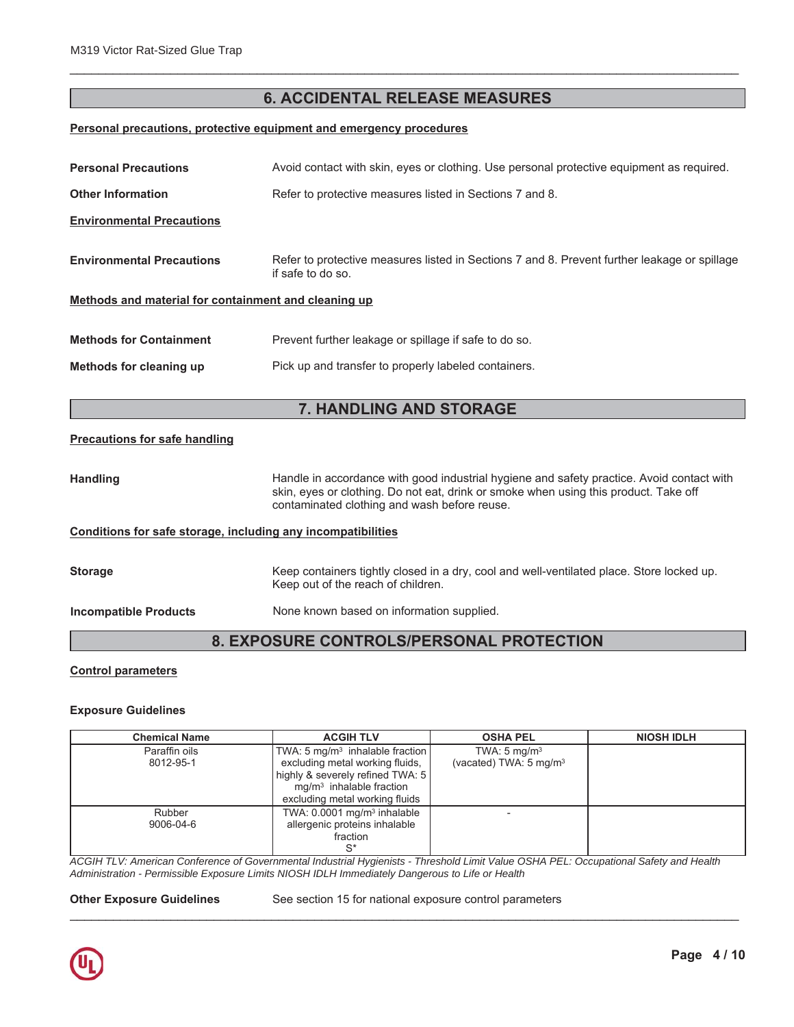## **6. ACCIDENTAL RELEASE MEASURES**

BBBBBBBBBBBBBBBBBBBBBBBBBBBBBBBBBBBBBBBBBBBBBBBBBBBBBBBBBBBBBBBBBBBBBBBBBBBBBBBBBBBBBBBBBBBBB

#### **Personal precautions, protective equipment and emergency procedures**

| <b>Personal Precautions</b>                                  | Avoid contact with skin, eyes or clothing. Use personal protective equipment as required.                                                                                                                                         |
|--------------------------------------------------------------|-----------------------------------------------------------------------------------------------------------------------------------------------------------------------------------------------------------------------------------|
| <b>Other Information</b>                                     | Refer to protective measures listed in Sections 7 and 8.                                                                                                                                                                          |
| <b>Environmental Precautions</b>                             |                                                                                                                                                                                                                                   |
| <b>Environmental Precautions</b>                             | Refer to protective measures listed in Sections 7 and 8. Prevent further leakage or spillage<br>if safe to do so.                                                                                                                 |
| Methods and material for containment and cleaning up         |                                                                                                                                                                                                                                   |
| <b>Methods for Containment</b>                               | Prevent further leakage or spillage if safe to do so.                                                                                                                                                                             |
| Methods for cleaning up                                      | Pick up and transfer to properly labeled containers.                                                                                                                                                                              |
|                                                              |                                                                                                                                                                                                                                   |
|                                                              |                                                                                                                                                                                                                                   |
|                                                              | 7. HANDLING AND STORAGE                                                                                                                                                                                                           |
| <b>Precautions for safe handling</b>                         |                                                                                                                                                                                                                                   |
| <b>Handling</b>                                              | Handle in accordance with good industrial hygiene and safety practice. Avoid contact with<br>skin, eyes or clothing. Do not eat, drink or smoke when using this product. Take off<br>contaminated clothing and wash before reuse. |
| Conditions for safe storage, including any incompatibilities |                                                                                                                                                                                                                                   |
| <b>Storage</b>                                               | Keep containers tightly closed in a dry, cool and well-ventilated place. Store locked up.<br>Keep out of the reach of children.                                                                                                   |

## **8. EXPOSURE CONTROLS/PERSONAL PROTECTION**

#### **Control parameters**

#### **Exposure Guidelines**

| <b>Chemical Name</b> | <b>ACGIH TLV</b>                            | <b>OSHA PEL</b>                   | <b>NIOSH IDLH</b> |
|----------------------|---------------------------------------------|-----------------------------------|-------------------|
| Paraffin oils        | TWA: 5 mg/m <sup>3</sup> inhalable fraction | TWA: $5 \text{ mg/m}^3$           |                   |
| 8012-95-1            | excluding metal working fluids,             | (vacated) TWA: $5 \text{ mg/m}^3$ |                   |
|                      | highly & severely refined TWA: 5            |                                   |                   |
|                      | $mq/m3$ inhalable fraction                  |                                   |                   |
|                      | excluding metal working fluids              |                                   |                   |
| Rubber               | TWA: $0.0001$ mg/m <sup>3</sup> inhalable   |                                   |                   |
| 9006-04-6            | allergenic proteins inhalable               |                                   |                   |
|                      | fraction                                    |                                   |                   |
|                      | c*                                          |                                   |                   |

*ACGIH TLV: American Conference of Governmental Industrial Hygienists - Threshold Limit Value OSHA PEL: Occupational Safety and Health Administration - Permissible Exposure Limits NIOSH IDLH Immediately Dangerous to Life or Health*

**2W Other Exposure Guidelines** See section 15 for national exposure control parameters

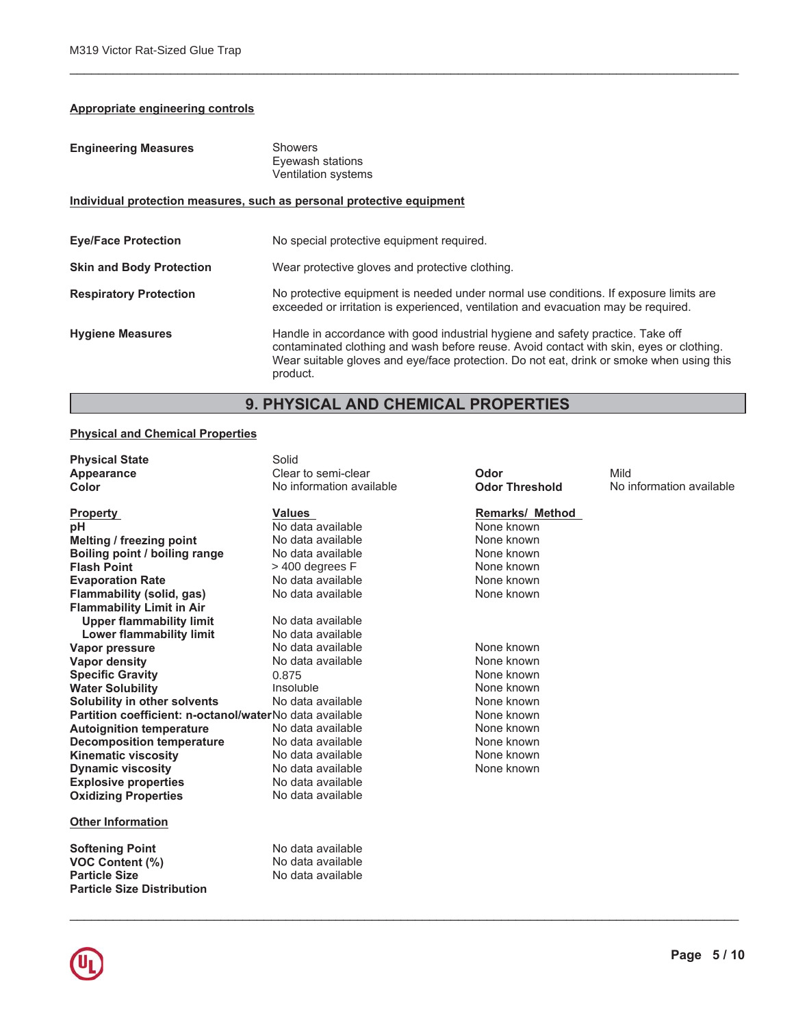## **Appropriate engineering controls**

| <b>Engineering Measures</b>                                           | <b>Showers</b><br>Eyewash stations<br>Ventilation systems                                                                                                                                                                                                                          |  |
|-----------------------------------------------------------------------|------------------------------------------------------------------------------------------------------------------------------------------------------------------------------------------------------------------------------------------------------------------------------------|--|
| Individual protection measures, such as personal protective equipment |                                                                                                                                                                                                                                                                                    |  |
| <b>Eye/Face Protection</b>                                            | No special protective equipment required.                                                                                                                                                                                                                                          |  |
| <b>Skin and Body Protection</b>                                       | Wear protective gloves and protective clothing.                                                                                                                                                                                                                                    |  |
| <b>Respiratory Protection</b>                                         | No protective equipment is needed under normal use conditions. If exposure limits are<br>exceeded or irritation is experienced, ventilation and evacuation may be required.                                                                                                        |  |
| <b>Hygiene Measures</b>                                               | Handle in accordance with good industrial hygiene and safety practice. Take off<br>contaminated clothing and wash before reuse. Avoid contact with skin, eyes or clothing.<br>Wear suitable gloves and eye/face protection. Do not eat, drink or smoke when using this<br>product. |  |

## 9. PHYSICAL AND CHEMICAL PROPERTIES

## **Physical and Chemical Properties**

| <b>Physical State</b>                                   | Solid                    |                        |                          |
|---------------------------------------------------------|--------------------------|------------------------|--------------------------|
| Appearance                                              | Clear to semi-clear      | Odor                   | Mild                     |
| Color                                                   | No information available | <b>Odor Threshold</b>  | No information available |
| <b>Property</b>                                         | <b>Values</b>            | <b>Remarks/ Method</b> |                          |
| рH                                                      | No data available        | None known             |                          |
| Melting / freezing point                                | No data available        | None known             |                          |
| Boiling point / boiling range                           | No data available        | None known             |                          |
| <b>Flash Point</b>                                      | > 400 degrees F          | None known             |                          |
| <b>Evaporation Rate</b>                                 | No data available        | None known             |                          |
| <b>Flammability (solid, gas)</b>                        | No data available        | None known             |                          |
| <b>Flammability Limit in Air</b>                        |                          |                        |                          |
| <b>Upper flammability limit</b>                         | No data available        |                        |                          |
| <b>Lower flammability limit</b>                         | No data available        |                        |                          |
| <b>Vapor pressure</b>                                   | No data available        | None known             |                          |
| <b>Vapor density</b>                                    | No data available        | None known             |                          |
| <b>Specific Gravity</b>                                 | 0.875                    | None known             |                          |
| <b>Water Solubility</b>                                 | Insoluble                | None known             |                          |
| <b>Solubility in other solvents</b>                     | No data available        | None known             |                          |
| Partition coefficient: n-octanol/waterNo data available |                          | None known             |                          |
| <b>Autoignition temperature</b>                         | No data available        | None known             |                          |
| <b>Decomposition temperature</b>                        | No data available        | None known             |                          |
| <b>Kinematic viscosity</b>                              | No data available        | None known             |                          |
| <b>Dynamic viscosity</b>                                | No data available        | None known             |                          |
| <b>Explosive properties</b>                             | No data available        |                        |                          |
| <b>Oxidizing Properties</b>                             | No data available        |                        |                          |
| <b>Other Information</b>                                |                          |                        |                          |
| <b>Softening Point</b>                                  | No data available        |                        |                          |
| <b>VOC Content (%)</b>                                  | No data available        |                        |                          |
| <b>Particle Size</b>                                    | No data available        |                        |                          |
| <b>Particle Size Distribution</b>                       |                          |                        |                          |

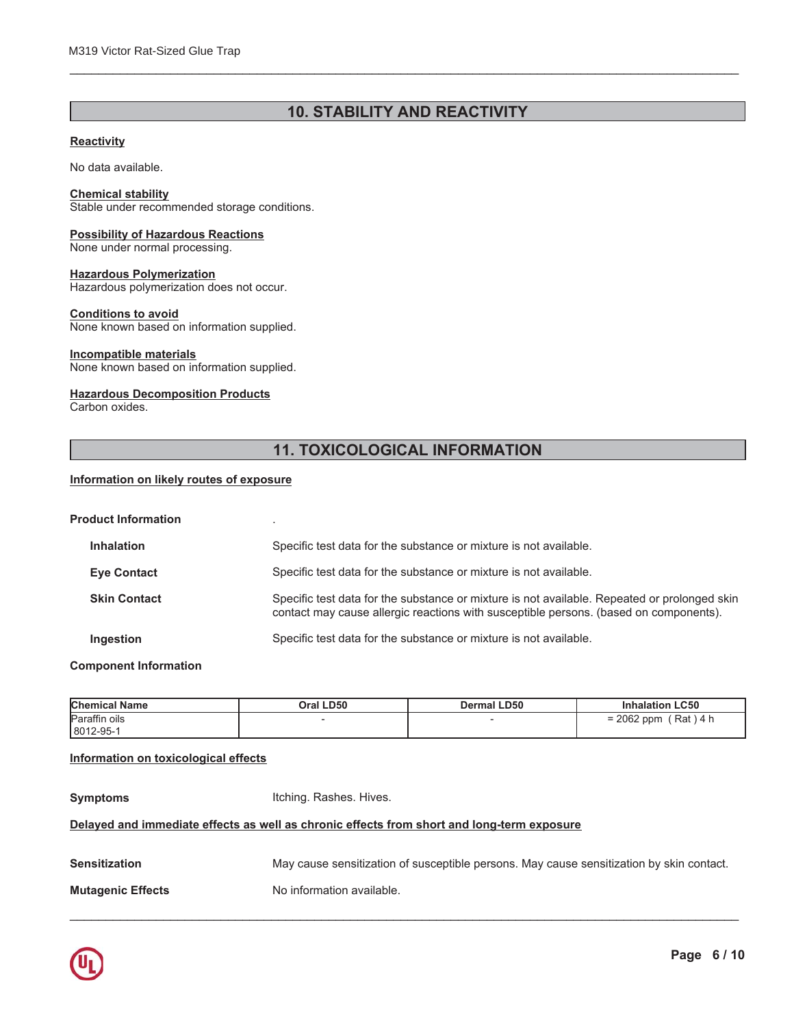## **10. STABILITY AND REACTIVITY**

#### **Reactivity**

No data available.

#### **Chemical stability**

Stable under recommended storage conditions.

## **Possibility of Hazardous Reactions**

None under normal processing.

#### **Hazardous Polymerization**

Hazardous polymerization does not occur.

#### **Conditions to avoid**

None known based on information supplied.

#### Incompatible materials

None known based on information supplied.

#### **Hazardous Decomposition Products**

Carbon oxides.

## **11. TOXICOLOGICAL INFORMATION**

#### Information on likely routes of exposure

| <b>Product Information</b> |                                                                                                                                                                                       |
|----------------------------|---------------------------------------------------------------------------------------------------------------------------------------------------------------------------------------|
| Inhalation                 | Specific test data for the substance or mixture is not available.                                                                                                                     |
| <b>Eye Contact</b>         | Specific test data for the substance or mixture is not available.                                                                                                                     |
| <b>Skin Contact</b>        | Specific test data for the substance or mixture is not available. Repeated or prolonged skin<br>contact may cause allergic reactions with susceptible persons. (based on components). |
| Ingestion                  | Specific test data for the substance or mixture is not available.                                                                                                                     |

#### **Component Information**

| <b>Chemical Name</b> | Oral LD50 | <b>Dermal LD50</b> | <b>Inhalation LC50</b>      |
|----------------------|-----------|--------------------|-----------------------------|
| Paraffin oils        |           |                    | 2062 ppm<br>(Rat)4 h<br>$=$ |
| 8012-95-1            |           |                    |                             |

#### Information on toxicological effects

**Symptoms** 

Itching. Rashes. Hives.

#### Delayed and immediate effects as well as chronic effects from short and long-term exposure

| <b>Sensitization</b>     | May cause sensitization of susceptible persons. May cause sensitization by skin contact. |
|--------------------------|------------------------------------------------------------------------------------------|
| <b>Mutagenic Effects</b> | No information available.                                                                |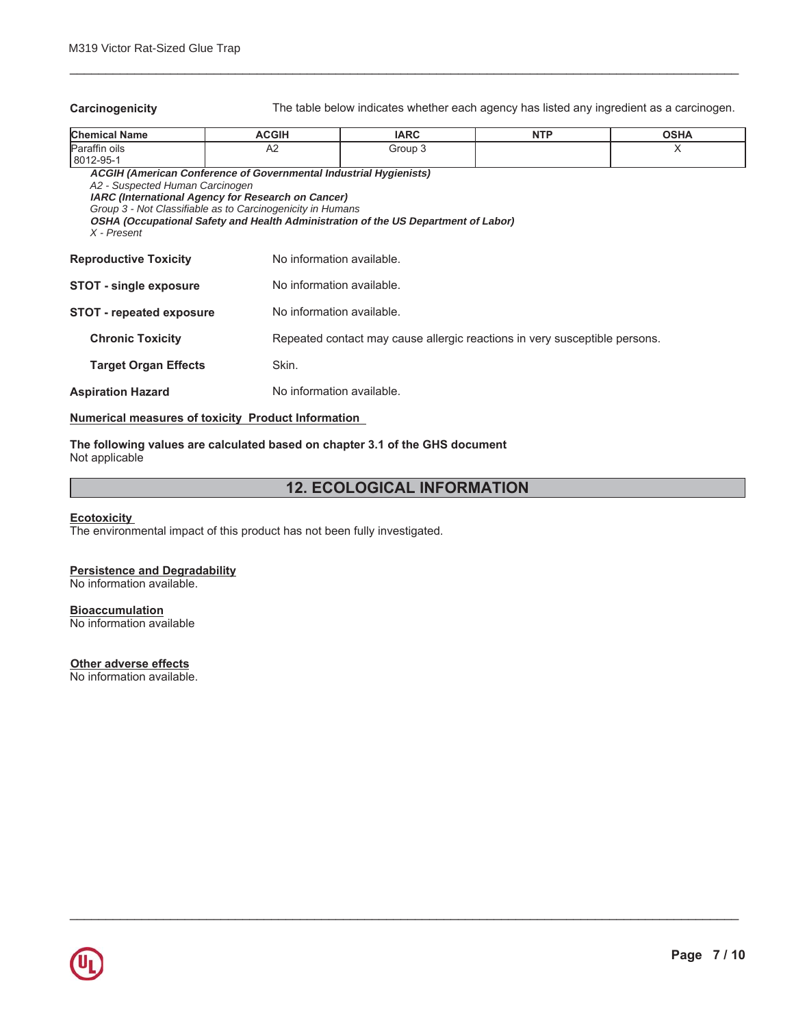Carcinogenicity **EXECUTE:** The table below indicates whether each agency has listed any ingredient as a carcinogen.

| <b>Chemical Name</b>                           | <b>ACGIH</b>                                                                                                                                                                                        | <b>IARC</b>                                                                        | <b>NTP</b> | <b>OSHA</b> |
|------------------------------------------------|-----------------------------------------------------------------------------------------------------------------------------------------------------------------------------------------------------|------------------------------------------------------------------------------------|------------|-------------|
| Paraffin oils<br>8012-95-1                     | A <sub>2</sub>                                                                                                                                                                                      | Group 3                                                                            |            | X           |
| A2 - Suspected Human Carcinogen<br>X - Present | <b>ACGIH (American Conference of Governmental Industrial Hygienists)</b><br><b>IARC</b> (International Agency for Research on Cancer)<br>Group 3 - Not Classifiable as to Carcinogenicity in Humans | OSHA (Occupational Safety and Health Administration of the US Department of Labor) |            |             |
| <b>Reproductive Toxicity</b>                   |                                                                                                                                                                                                     | No information available.                                                          |            |             |
| <b>STOT - single exposure</b>                  |                                                                                                                                                                                                     | No information available.                                                          |            |             |
| <b>STOT - repeated exposure</b>                |                                                                                                                                                                                                     | No information available.                                                          |            |             |
| <b>Chronic Toxicity</b>                        |                                                                                                                                                                                                     | Repeated contact may cause allergic reactions in very susceptible persons.         |            |             |
| <b>Target Organ Effects</b>                    | Skin.                                                                                                                                                                                               |                                                                                    |            |             |
| <b>Aspiration Hazard</b>                       |                                                                                                                                                                                                     | No information available.                                                          |            |             |

BBBBBBBBBBBBBBBBBBBBBBBBBBBBBBBBBBBBBBBBBBBBBBBBBBBBBBBBBBBBBBBBBBBBBBBBBBBBBBBBBBBBBBBBBBBBB

#### **Numerical measures of toxicity Product Information**

#### The following values are calculated based on chapter 3.1 of the GHS document Not applicable

## **12. ECOLOGICAL INFORMATION**

BBBBBBBBBBBBBBBBBBBBBBBBBBBBBBBBBBBBBBBBBBBBBBBBBBBBBBBBBBBBBBBBBBBBBBBBBBBBBBBBBBBBBBBBBBBBB

### **Ecotoxicity**

The environmental impact of this product has not been fully investigated.

#### **Persistence and Degradability**

No information available.

#### **Bioaccumulation**

No information available

### **20 Other adverse effects**

No information available.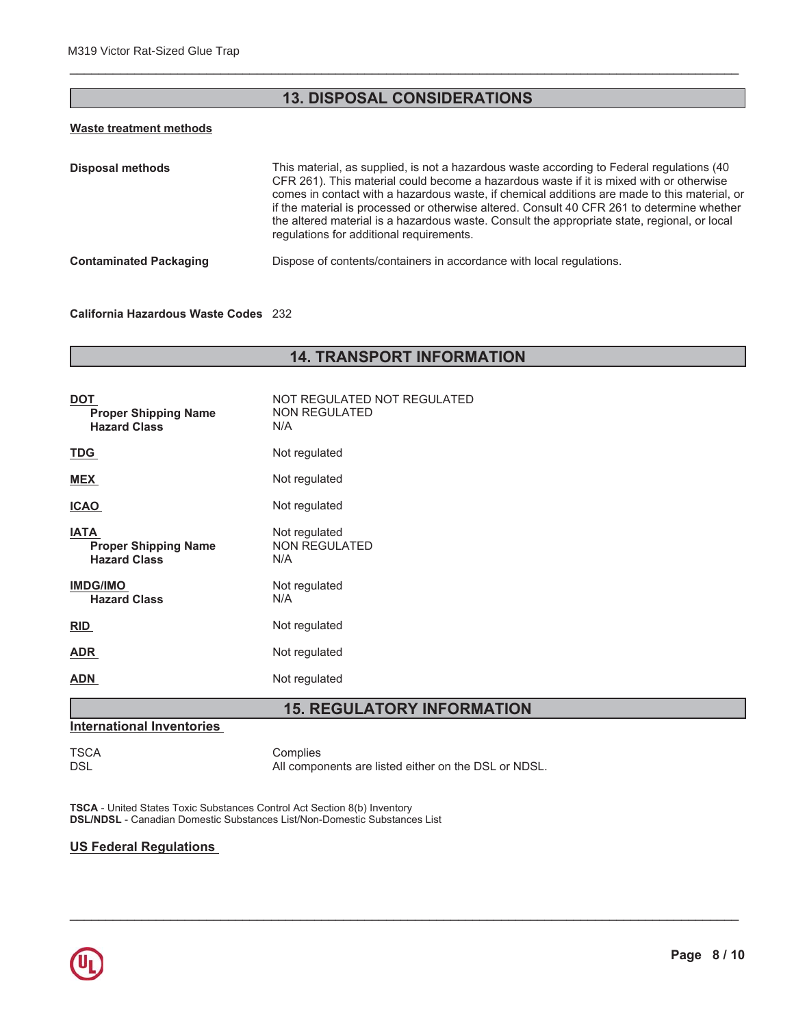## **13. DISPOSAL CONSIDERATIONS**

## Waste treatment methods

| <b>Disposal methods</b>       | This material, as supplied, is not a hazardous waste according to Federal regulations (40)<br>CFR 261). This material could become a hazardous waste if it is mixed with or otherwise<br>comes in contact with a hazardous waste, if chemical additions are made to this material, or<br>if the material is processed or otherwise altered. Consult 40 CFR 261 to determine whether<br>the altered material is a hazardous waste. Consult the appropriate state, regional, or local<br>regulations for additional requirements. |
|-------------------------------|---------------------------------------------------------------------------------------------------------------------------------------------------------------------------------------------------------------------------------------------------------------------------------------------------------------------------------------------------------------------------------------------------------------------------------------------------------------------------------------------------------------------------------|
| <b>Contaminated Packaging</b> | Dispose of contents/containers in accordance with local regulations.                                                                                                                                                                                                                                                                                                                                                                                                                                                            |

### California Hazardous Waste Codes 232

## **14. TRANSPORT INFORMATION**

| DOT<br><b>Proper Shipping Name</b><br><b>Hazard Class</b>         | NOT REGULATED NOT REGULATED<br><b>NON REGULATED</b><br>N/A |  |  |
|-------------------------------------------------------------------|------------------------------------------------------------|--|--|
| <u>TDG</u>                                                        | Not regulated                                              |  |  |
| <b>MEX</b>                                                        | Not regulated                                              |  |  |
| <b>ICAO</b>                                                       | Not regulated                                              |  |  |
| <b>IATA</b><br><b>Proper Shipping Name</b><br><b>Hazard Class</b> | Not regulated<br><b>NON REGULATED</b><br>N/A               |  |  |
| <b>IMDG/IMO</b><br><b>Hazard Class</b>                            | Not regulated<br>N/A                                       |  |  |
| <b>RID</b>                                                        | Not regulated                                              |  |  |
| ADR                                                               | Not regulated                                              |  |  |
| ADN                                                               | Not regulated                                              |  |  |

## **15. REGULATORY INFORMATION**

#### **International Inventories**

**TSCA DSL** 

Complies All components are listed either on the DSL or NDSL.

TSCA - United States Toxic Substances Control Act Section 8(b) Inventory DSL/NDSL - Canadian Domestic Substances List/Non-Domestic Substances List

#### **US Federal Regulations**

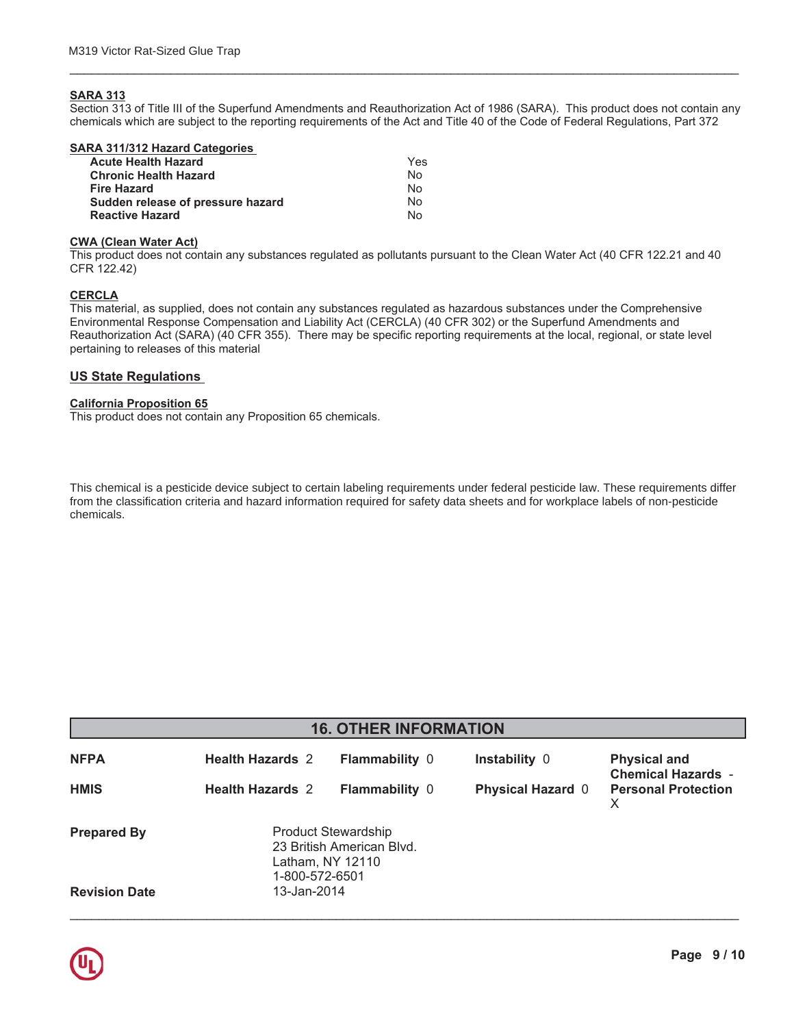#### **SARA 313**

Section 313 of Title III of the Superfund Amendments and Reauthorization Act of 1986 (SARA). This product does not contain any chemicals which are subject to the reporting requirements of the Act and Title 40 of the Code of Federal Regulations, Part 372

| Yes |
|-----|
| No. |
| Nο  |
| Nο  |
| N٥  |
|     |

#### **CWA (Clean Water Act)**

This product does not contain any substances regulated as pollutants pursuant to the Clean Water Act (40 CFR 122.21 and 40 CFR 122.42)

#### **CERCLA**

This material, as supplied, does not contain any substances regulated as hazardous substances under the Comprehensive Environmental Response Compensation and Liability Act (CERCLA) (40 CFR 302) or the Superfund Amendments and Reauthorization Act (SARA) (40 CFR 355). There may be specific reporting requirements at the local, regional, or state level pertaining to releases of this material

#### **US State Regulations**

#### **California Proposition 65**

This product does not contain any Proposition 65 chemicals.

This chemical is a pesticide device subject to certain labeling requirements under federal pesticide law. These requirements differ from the classification criteria and hazard information required for safety data sheets and for workplace labels of non-pesticide chemicals.

| <b>16. OTHER INFORMATION</b> |                                                                                        |                       |                          |                                                  |  |
|------------------------------|----------------------------------------------------------------------------------------|-----------------------|--------------------------|--------------------------------------------------|--|
| <b>NFPA</b>                  | <b>Health Hazards 2</b>                                                                | <b>Flammability 0</b> | Instability 0            | <b>Physical and</b><br><b>Chemical Hazards -</b> |  |
| <b>HMIS</b>                  | <b>Health Hazards 2</b>                                                                | <b>Flammability 0</b> | <b>Physical Hazard 0</b> | <b>Personal Protection</b><br>X                  |  |
| <b>Prepared By</b>           | Product Stewardship<br>23 British American Blvd.<br>Latham, NY 12110<br>1-800-572-6501 |                       |                          |                                                  |  |
| <b>Revision Date</b>         | 13-Jan-2014                                                                            |                       |                          |                                                  |  |